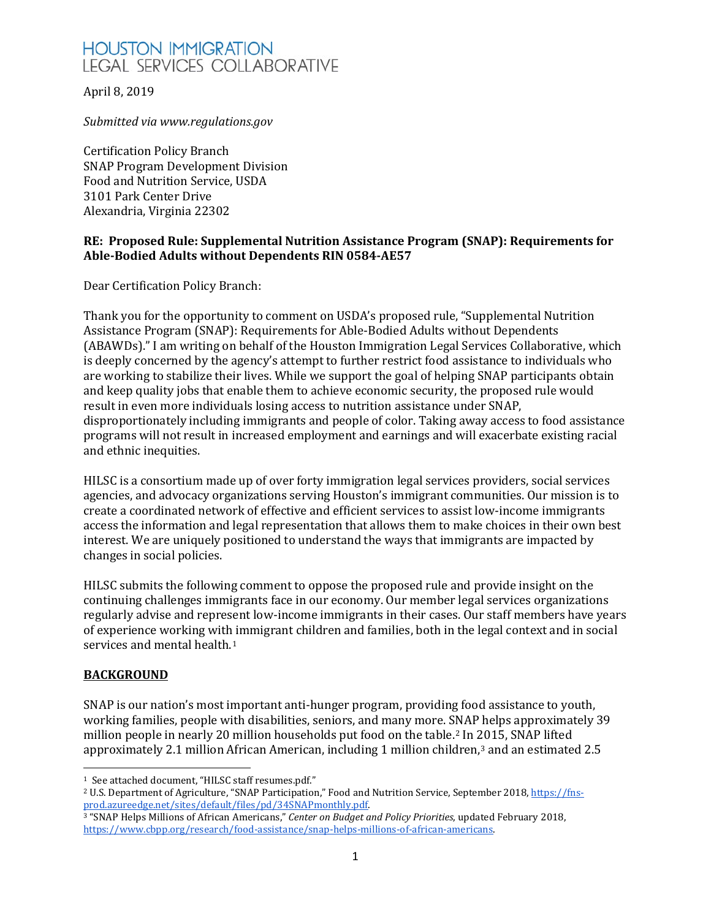April 8, 2019

*Submitted via www.regulations.gov*

Certification Policy Branch SNAP Program Development Division Food and Nutrition Service, USDA 3101 Park Center Drive Alexandria, Virginia 22302

#### **RE: Proposed Rule: Supplemental Nutrition Assistance Program (SNAP): Requirements for Able-Bodied Adults without Dependents RIN 0584-AE57**

Dear Certification Policy Branch:

Thank you for the opportunity to comment on USDA's proposed rule, "Supplemental Nutrition Assistance Program (SNAP): Requirements for Able-Bodied Adults without Dependents (ABAWDs)." I am writing on behalf of the Houston Immigration Legal Services Collaborative, which is deeply concerned by the agency's attempt to further restrict food assistance to individuals who are working to stabilize their lives. While we support the goal of helping SNAP participants obtain and keep quality jobs that enable them to achieve economic security, the proposed rule would result in even more individuals losing access to nutrition assistance under SNAP, disproportionately including immigrants and people of color. Taking away access to food assistance programs will not result in increased employment and earnings and will exacerbate existing racial and ethnic inequities.

HILSC is a consortium made up of over forty immigration legal services providers, social services agencies, and advocacy organizations serving Houston's immigrant communities. Our mission is to create a coordinated network of effective and efficient services to assist low-income immigrants access the information and legal representation that allows them to make choices in their own best interest. We are uniquely positioned to understand the ways that immigrants are impacted by changes in social policies.

HILSC submits the following comment to oppose the proposed rule and provide insight on the continuing challenges immigrants face in our economy. Our member legal services organizations regularly advise and represent low-income immigrants in their cases. Our staff members have years of experience working with immigrant children and families, both in the legal context and in social services and mental health.<sup>[1](#page-0-0)</sup>

### **BACKGROUND**

 $\overline{a}$ 

SNAP is our nation's most important anti-hunger program, providing food assistance to youth, working families, people with disabilities, seniors, and many more. SNAP helps approximately 39 million people in nearly 20 million households put food on the table.[2](#page-0-1) In 2015, SNAP lifted approximately 2.1 million African American, including 1 million children,[3](#page-0-2) and an estimated 2.5

<span id="page-0-1"></span><span id="page-0-0"></span><sup>&</sup>lt;sup>1</sup> See attached document, "HILSC staff resumes.pdf."<br><sup>2</sup> U.S. Department of Agriculture, "SNAP Participation," Food and Nutrition Service, September 2018[, https://fns](https://fns-prod.azureedge.net/sites/default/files/pd/34SNAPmonthly.pdf)[prod.azureedge.net/sites/default/files/pd/34SNAPmonthly.pdf.](https://fns-prod.azureedge.net/sites/default/files/pd/34SNAPmonthly.pdf)

<span id="page-0-2"></span><sup>3</sup> "SNAP Helps Millions of African Americans," *Center on Budget and Policy Priorities*, updated February 2018, [https://www.cbpp.org/research/food-assistance/snap-helps-millions-of-african-americans.](https://www.cbpp.org/research/food-assistance/snap-helps-millions-of-african-americans)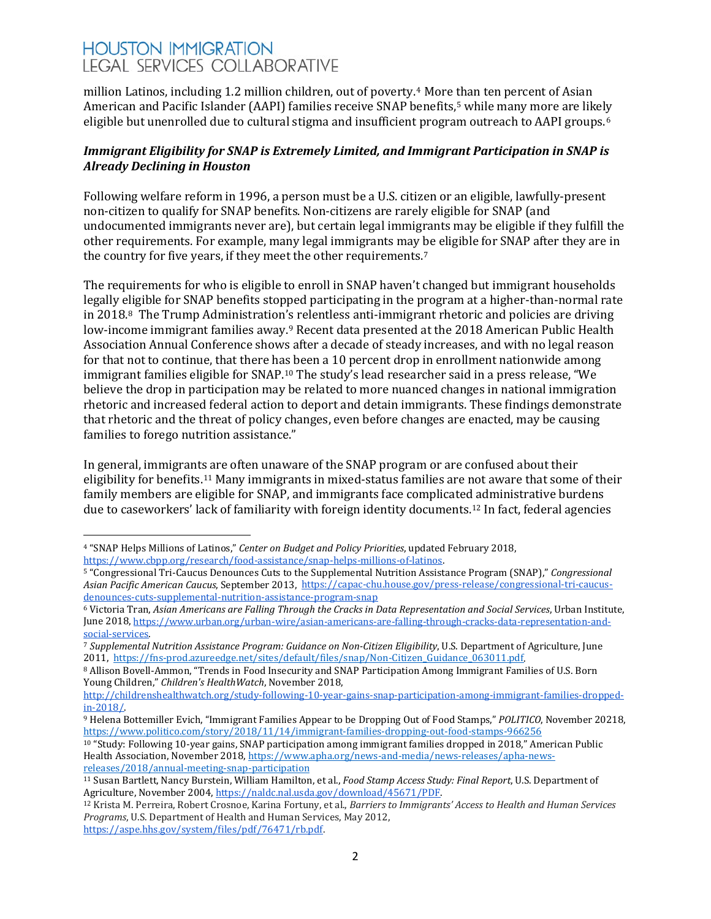million Latinos, including 1.2 million children, out of poverty.[4](#page-1-0) More [th](#page-1-1)an ten percent of Asian American and Pacific Islander (AAPI) families receive SNAP benefits,5 while many more are likely eligible but unenrolled due to cultural stigma and insufficient program outreach to AAPI groups.<sup>[6](#page-1-2)</sup>

### *Immigrant Eligibility for SNAP is Extremely Limited, and Immigrant Participation in SNAP is Already Declining in Houston*

Following welfare reform in 1996, a person must be a U.S. citizen or an eligible, lawfully-present non-citizen to qualify for SNAP benefits. Non-citizens are rarely eligible for SNAP (and undocumented immigrants never are), but certain legal immigrants may be eligible if they fulfill the other requirements. For example, many legal immigrants may [b](#page-1-3)e eligible for SNAP after they are in the country for five years, if they meet the other requirements.7

The requirements for who is eligible to enroll in SNAP haven't changed but immigrant households legally e[li](#page-1-4)gible for SNAP benefits stopped participating in the program at a higher-than-normal rate in 2018.8 The Trump Administration'[s](#page-1-5) relentless anti-immigrant rhetoric and policies are driving low-income immigrant families away.<sup>9</sup> Recent data presented at the 2018 American Public Health Association Annual Conference shows after a decade of steady increases, and with no legal reason for that not to continue, that there has been a 10 percent drop in enrollment nationwide among immigrant families eligible for SNAP.[10](#page-1-6) The study's lead researcher said in a press release, "We believe the drop in participation may be related to more nuanced changes in national immigration rhetoric and increased federal action to deport and detain immigrants. These findings demonstrate that rhetoric and the threat of policy changes, even before changes are enacted, may be causing families to forego nutrition assistance."

In general, immigrants are often unaware of the SNAP program or are confused about their eligibility for benefits.[11](#page-1-7) Many immigrants in mixed-status families are not aware that some of their family members are eligible for SNAP, and immigrants face complicated administrative burdens due to caseworkers' lack of familiarity with foreign identity documents.[12](#page-1-8) In fact, federal agencies

<span id="page-1-0"></span> $\overline{a}$ <sup>4</sup> "SNAP Helps Millions of Latinos," *Center on Budget and Policy Priorities*, updated February 2018,

<span id="page-1-1"></span><sup>&</sup>lt;sup>5</sup> "Congressional Tri-Caucus Denounces Cuts to the Supplemental Nutrition Assistance Program (SNAP)," *Congressional Asian Pacific American Caucus*, September 2013, [https://capac-chu.house.gov/press-release/congressional-tri-caucus](https://capac-chu.house.gov/press-release/congressional-tri-caucus-denounces-cuts-supplemental-nutrition-assistance-program-snap)[denounces-cuts-supplemental-nutrition-assistance-program-snap](https://capac-chu.house.gov/press-release/congressional-tri-caucus-denounces-cuts-supplemental-nutrition-assistance-program-snap)

<span id="page-1-2"></span><sup>6</sup> Victoria Tran, *Asian Americans are Falling Through the Cracks in Data Representation and Social Services*, Urban Institute, June 2018, https://www.urban.org/urban-wire/asian-americans-are-falling-through-cracks-data-representation-and-social-services.

<span id="page-1-3"></span><sup>&</sup>lt;sup>7</sup> Supplemental Nutrition Assistance Program: Guidance on Non-Citizen Eligibility, U.S. Department of Agriculture, June<br>2011, https://fns-prod.azureedge.net/sites/default/files/snap/Non-Citizen Guidance 063011.pdf.

<span id="page-1-4"></span><sup>&</sup>lt;sup>8</sup> Allison Bovell-Ammon, "Trends in Food Insecurity and SNAP Participation Among Immigrant Families of U.S. Born Young Children," *Children's HealthWatch*, November 2018,

[http://childrenshealthwatch.org/study-following-10-year-gains-snap-participation-among-immigrant-families-dropped-](http://childrenshealthwatch.org/study-following-10-year-gains-snap-participation-among-immigrant-families-dropped-in-2018/)

<span id="page-1-5"></span>[in-2018/.](http://childrenshealthwatch.org/study-following-10-year-gains-snap-participation-among-immigrant-families-dropped-in-2018/) 9 Helena Bottemiller Evich, "Immigrant Families Appear to be Dropping Out of Food Stamps," *POLITICO*, November 20218, <https://www.politico.com/story/2018/11/14/immigrant-families-dropping-out-food-stamps-966256>

<span id="page-1-6"></span><sup>10</sup> "Study: Following 10-year gains, SNAP participation among immigrant families dropped in 2018," American Public Health Association, November 2018[, https://www.apha.org/news-and-media/news-releases/apha-news](https://www.apha.org/news-and-media/news-releases/apha-news-releases/2018/annual-meeting-snap-participation)[releases/2018/annual-meeting-snap-participation](https://www.apha.org/news-and-media/news-releases/apha-news-releases/2018/annual-meeting-snap-participation)

<span id="page-1-7"></span><sup>11</sup> Susan Bartlett, Nancy Burstein, William Hamilton, et al., *Food Stamp Access Study: Final Report*, U.S. Department of

<span id="page-1-8"></span><sup>&</sup>lt;sup>12</sup> Krista M. Perreira, Robert Crosnoe, Karina Fortuny, et al., *Barriers to Immigrants' Access to Health and Human Services Programs*, U.S. Department of Health and Human Services, May 2012, [https://aspe.hhs.gov/system/files/pdf/76471/rb.pdf.](https://aspe.hhs.gov/system/files/pdf/76471/rb.pdf)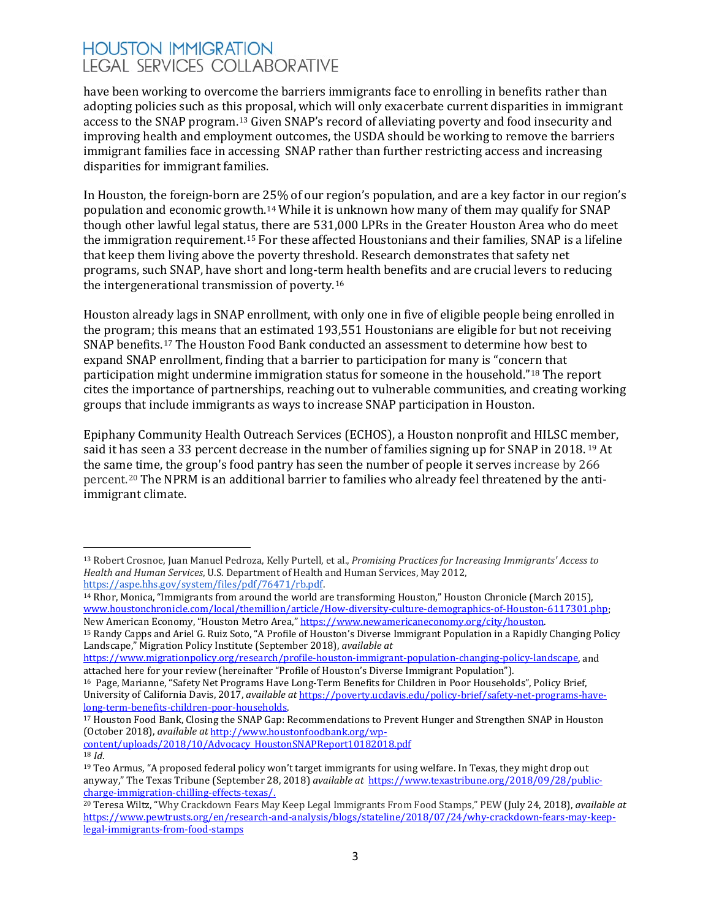have been working to overcome the barriers immigrants face to enrolling in benefits rather than adopting policies such as thi[s p](#page-2-0)roposal, which will only exacerbate current disparities in immigrant access to the SNAP program.13 Given SNAP's record of alleviating poverty and food insecurity and improving health and employment outcomes, the USDA should be working to remove the barriers immigrant families face in accessing SNAP rather than further restricting access and increasing disparities for immigrant families.

In Houston, the foreign-born are 25% of our region's population, and are a key factor in our region's population and economic growth.[14](#page-2-1) While it is unknown how many of them may qualify for SNAP though other lawful legal status, there are 531,000 LPRs in the Greater Houston Area who do meet the immigration requirement.[15](#page-2-2) For these affected Houstonians and their families, SNAP is a lifeline that keep them living above the poverty threshold. Research demonstrates that safety net programs, such SNAP, have short and long-ter[m](#page-2-3) health benefits and are crucial levers to reducing the intergenerational transmission of poverty.16

Houston already lags in SNAP enrollment, with only one in five of eligible people being enrolled in the program; t[his](#page-2-4) means that an estimated 193,551 Houstonians are eligible for but not receiving SNAP benefits.17 The Houston Food Bank conducted an assessment to determine how best to expand SNAP enrollment, finding that a barrier to participation for many is "concern that participation might undermine immigration status for someone in the household.["18](#page-2-5) The report cites the importance of partnerships, reaching out to vulnerable communities, and creating working groups that include immigrants as ways to increase SNAP participation in Houston.

Epiphany Community Health Outreach Services (ECHOS), a Houston nonprofit and HILSC me[m](#page-2-6)ber, said it has seen a 33 percent decrease in the number of families signing up for SNAP in 2018. <sup>19</sup> At the sam[e t](#page-2-7)ime, the group's food pantry has seen the number of people it serves increase by 266 percent.20 The NPRM is an additional barrier to families who already feel threatened by the antiimmigrant climate.

<span id="page-2-5"></span>[content/uploads/2018/10/Advocacy\\_HoustonSNAPReport10182018.pdf](http://www.houstonfoodbank.org/wp-content/uploads/2018/10/Advocacy_HoustonSNAPReport10182018.pdf) <sup>18</sup> *Id*.

<span id="page-2-0"></span> $\overline{a}$ <sup>13</sup> Robert Crosnoe, Juan Manuel Pedroza, Kelly Purtell, et al., *Promising Practices for Increasing Immigrants' Access to Health and Human Services*, U.S. Department of Health and Human Services, May 2012,

<span id="page-2-1"></span> $14$  Rhor, Monica, "Immigrants from around the world are transforming Houston," Houston Chronicle (March 2015), [www.houstonchronicle.com/local/themillion/article/How-diversity-culture-demographics-of-Houston-6117301.php;](http://www.houstonchronicle.com/local/themillion/article/How-diversity-culture-demographics-of-Houston-6117301.php)<br>New American Economy, "Houston Metro Area," https://www.newamericaneconomy.org/city/houston.

<span id="page-2-2"></span><sup>&</sup>lt;sup>15</sup> Randy Capps and Ariel G. Ruiz Soto, "A Profile of Houston's Diverse Immigrant Population in a Rapidly Changing Policy Landscape," Migration Policy Institute (September 2018), *available at*

[https://www.migrationpolicy.org/research/profile-houston-immigrant-population-changing-policy-landscape,](https://www.migrationpolicy.org/research/profile-houston-immigrant-population-changing-policy-landscape) and attached here for your review (hereinafter "Profile of Houston's Diverse Immigrant Population").

<span id="page-2-3"></span><sup>16</sup> Page, Marianne, "Safety Net Programs Have Long-Term Benefits for Children in Poor Households", Policy Brief, University of California Davis, 2017, *available at* [https://poverty.ucdavis.edu/policy-brief/safety-net-programs-have](https://poverty.ucdavis.edu/policy-brief/safety-net-programs-have-long-term-benefits-children-poor-households)[long-term-benefits-children-poor-households.](https://poverty.ucdavis.edu/policy-brief/safety-net-programs-have-long-term-benefits-children-poor-households)

<span id="page-2-4"></span><sup>17</sup> Houston Food Bank, Closing the SNAP Gap: Recommendations to Prevent Hunger and Strengthen SNAP in Houston (October 2018), *available at* [http://www.houstonfoodbank.org/wp-](http://www.houstonfoodbank.org/wp-content/uploads/2018/10/Advocacy_HoustonSNAPReport10182018.pdf)

<span id="page-2-6"></span><sup>&</sup>lt;sup>19</sup> Teo Armus, "A proposed federal policy won't target immigrants for using welfare. In Texas, they might drop out anyway," The Texas Tribune (September 28, 2018) *available at* [https://www.texastribune.org/2018/09/28/public-](https://www.texastribune.org/2018/09/28/public-charge-immigration-chilling-effects-texas/)

<span id="page-2-7"></span><sup>&</sup>lt;sup>20</sup> Teresa Wiltz, "Why Crackdown Fears May Keep Legal Immigrants From Food Stamps," PEW (July 24, 2018), *available at* [https://www.pewtrusts.org/en/research-and-analysis/blogs/stateline/2018/07/24/why-crackdown-fears-may-keep](https://www.pewtrusts.org/en/research-and-analysis/blogs/stateline/2018/07/24/why-crackdown-fears-may-keep-legal-immigrants-from-food-stamps)[legal-immigrants-from-food-stamps](https://www.pewtrusts.org/en/research-and-analysis/blogs/stateline/2018/07/24/why-crackdown-fears-may-keep-legal-immigrants-from-food-stamps)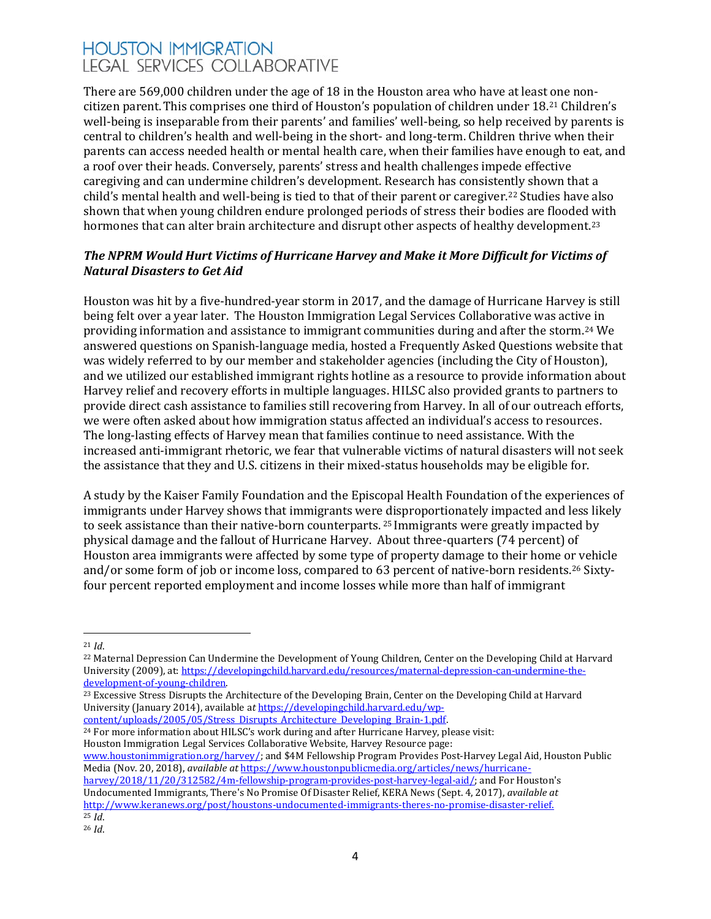There are 569,000 children under the age of 18 in the Houston area who have at least one noncitizen parent.This comprises one third of Houston's population of children under 18.[21](#page-3-0) Children's well-being is inseparable from their parents' and families' well-being, so help received by parents is central to children's health and well-being in the short- and long-term. Children thrive when their parents can access needed health or mental health care, when their families have enough to eat, and a roof over their heads. Conversely, parents' stress and health challenges impede effective caregiving and can undermine children's development. Research has consiste[ntl](#page-3-1)y shown that a child's mental health and well-being is tied to that of their parent or caregiver.22 Studies have also shown that when young children endure prolonged periods of stress their bodies are flooded with hormones that can alter brain architecture and disrupt other aspects of healthy development.<sup>[23](#page-3-2)</sup>

### *The NPRM Would Hurt Victims of Hurricane Harvey and Make it More Difficult for Victims of Natural Disasters to Get Aid*

Houston was hit by a five-hundred-year storm in 2017, and the damage of Hurricane Harvey is still being felt over a year later. The Houston Immigration Legal Services Collaborative was activ[e i](#page-3-3)n providing information and assistance to immigrant communities during and after the storm.24 We answered questions on Spanish-language media, hosted a Frequently Asked Questions website that was widely referred to by our member and stakeholder agencies (including the City of Houston), and we utilized our established immigrant rights hotline as a resource to provide information about Harvey relief and recovery efforts in multiple languages. HILSC also provided grants to partners to provide direct cash assistance to families still recovering from Harvey. In all of our outreach efforts, we were often asked about how immigration status affected an individual's access to resources. The long-lasting effects of Harvey mean that families continue to need assistance. With the increased anti-immigrant rhetoric, we fear that vulnerable victims of natural disasters will not seek the assistance that they and U.S. citizens in their mixed-status households may be eligible for.

A study by the Kaiser Family Foundation and the Episcopal Health Foundation of the experiences of immigrants under Harvey shows that immigrants were [d](#page-3-4)isproportionately impacted and less likely to seek assistance than their native-born counterparts. <sup>25</sup> Immigrants were greatly impacted by physical damage and the fallout of Hurricane Harvey. About three-quarters (74 percent) of Houston area immigrants were affected by some type of property damage to their home o[r v](#page-3-5)ehicle and/or some form of job or income loss, compared to 63 percent of native-born residents.26 Sixtyfour percent reported employment and income losses while more than half of immigrant

<span id="page-3-3"></span><sup>24</sup> For more information about HILSC's work during and after Hurricane Harvey, please visit: Houston Immigration Legal Services Collaborative Website, Harvey Resource page:

[www.houstonimmigration.org/harvey/;](http://www.houstonimmigration.org/harvey/) and \$4M Fellowship Program Provides Post-Harvey Legal Aid, Houston Public Media (Nov. 20, 2018), *available at* [https://www.houstonpublicmedia.org/articles/news/hurricane](https://www.houstonpublicmedia.org/articles/news/hurricane-harvey/2018/11/20/312582/4m-fellowship-program-provides-post-harvey-legal-aid/)[harvey/2018/11/20/312582/4m-fellowship-program-provides-post-harvey-legal-aid/;](https://www.houstonpublicmedia.org/articles/news/hurricane-harvey/2018/11/20/312582/4m-fellowship-program-provides-post-harvey-legal-aid/) and For Houston's Undocumented Immigrants, There's No Promise Of Disaster Relief, KERA News (Sept. 4, 2017), *available at* [http://www.keranews.org/post/houstons-undocumented-immigrants-theres-no-promise-disaster-relief.](http://www.keranews.org/post/houstons-undocumented-immigrants-theres-no-promise-disaster-relief)

 $\overline{a}$ <sup>21</sup> *Id*.

<span id="page-3-1"></span><span id="page-3-0"></span><sup>&</sup>lt;sup>22</sup> Maternal Depression Can Undermine the Development of Young Children, Center on the Developing Child at Harvard University (2009), at[: https://developingchild.harvard.edu/resources/maternal-depression-can-undermine-the](https://developingchild.harvard.edu/resources/maternal-depression-can-undermine-the-development-of-young-children)[development-of-young-children.](https://developingchild.harvard.edu/resources/maternal-depression-can-undermine-the-development-of-young-children)

<span id="page-3-2"></span><sup>&</sup>lt;sup>23</sup> Excessive Stress Disrupts the Architecture of the Developing Brain, Center on the Developing Child at Harvard University (January 2014), available a*t* [https://developingchild.harvard.edu/wp](https://developingchild.harvard.edu/wp-content/uploads/2005/05/Stress_Disrupts_Architecture_Developing_Brain-1.pdf)[content/uploads/2005/05/Stress\\_Disrupts\\_Architecture\\_Developing\\_Brain-1.pdf.](https://developingchild.harvard.edu/wp-content/uploads/2005/05/Stress_Disrupts_Architecture_Developing_Brain-1.pdf)

<span id="page-3-5"></span><span id="page-3-4"></span>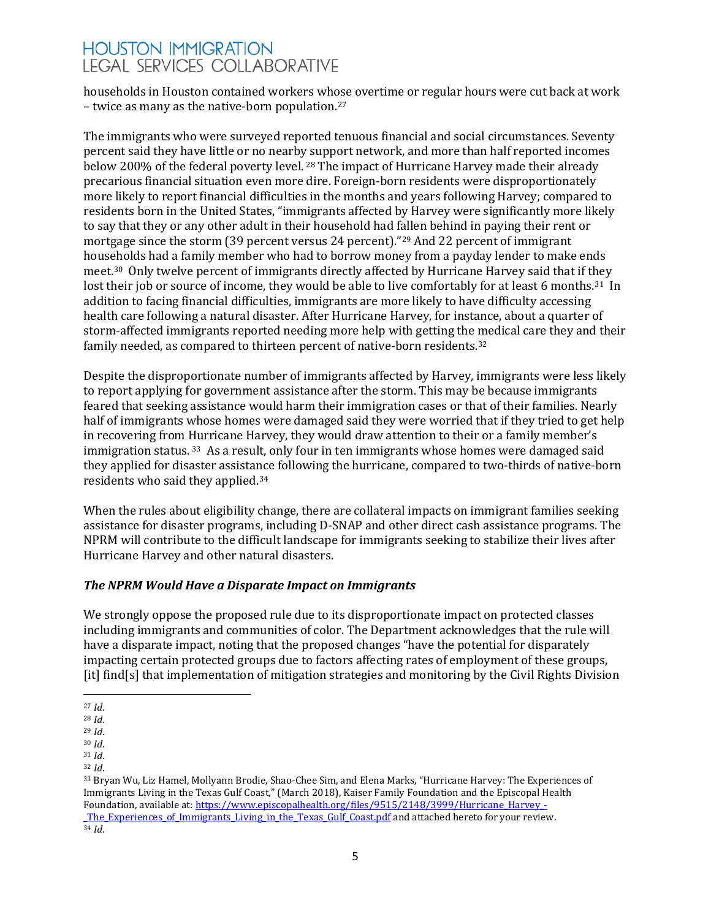households in Houston contained workers wh[ose](#page-4-0) overtime or regular hours were cut back at work – twice as many as the native-born population.27

The immigrants who were surveyed reported tenuous financial and social circumstances. Seventy percent said they have little or no nearb[y su](#page-4-1)pport network, and more than half reported incomes below 200% of the federal poverty level. <sup>28</sup> The impact of Hurricane Harvey made their already precarious financial situation even more dire. Foreign-born residents were disproportionately more likely to report financial difficulties in the months and years following Harvey; compared to residents born in the United States, "immigrants affected by Harvey were significantly more likely to say that they or any other adult in their household had fallen behind in paying their rent or mortgage since the storm (39 percent versus 24 percent)."[29](#page-4-2) And 22 percent of immigrant households had a family member who had to borrow money from a payday lender to make ends meet[.30](#page-4-3) Only twelve percent of immigrants directly affected by Hurricane Harvey said that if t[he](#page-4-4)y lost their job or source of income, they would be able to live comfortably for at least 6 months.<sup>31</sup> In addition to facing financial difficulties, immigrants are more likely to have difficulty accessing health care following a natural disaster. After Hurricane Harvey, for instance, about a quarter of storm-affected immigrants reported needing more help with getting the [m](#page-4-5)edical care they and their family needed, as compared to thirteen percent of native-born residents.32

Despite the disproportionate number of immigrants affected by Harvey, immigrants were less likely to report applying for government assistance after the storm. This may be because immigrants feared that seeking assistance would harm their immigration cases or that of their families. Nearly half of immigrants whose homes were damaged said they were worried that if they tried to get help in recovering from Hurricane Harvey, they would draw attention to their or a family member's immigration status.<sup>[33](#page-4-6)</sup> As a result, only four in ten immigrants whose homes were damaged said they applied for disaster assistance following the hurricane, compared to two-thirds of native-born residents who said they applied.[34](#page-4-7)

When the rules about eligibility change, there are collateral impacts on immigrant families seeking assistance for disaster programs, including D-SNAP and other direct cash assistance programs. The NPRM will contribute to the difficult landscape for immigrants seeking to stabilize their lives after Hurricane Harvey and other natural disasters.

### *The NPRM Would Have a Disparate Impact on Immigrants*

We strongly oppose the proposed rule due to its disproportionate impact on protected classes including immigrants and communities of color. The Department acknowledges that the rule will have a disparate impact, noting that the proposed changes "have the potential for disparately impacting certain protected groups due to factors affecting rates of employment of these groups, [it] find[s] that implementation of mitigation strategies and monitoring by the Civil Rights Division

<span id="page-4-0"></span> $\overline{a}$ <sup>27</sup> *Id*.

<span id="page-4-1"></span><sup>28</sup> *Id*.

<span id="page-4-2"></span><sup>29</sup> *Id*.

<span id="page-4-3"></span><sup>30</sup> *Id*. <sup>31</sup> *Id*.

<span id="page-4-6"></span><span id="page-4-5"></span><span id="page-4-4"></span><sup>32</sup> *Id*.

<span id="page-4-7"></span><sup>33</sup> Bryan Wu, Liz Hamel, Mollyann Brodie, Shao-Chee Sim, and Elena Marks, "Hurricane Harvey: The Experiences of Immigrants Living in the Texas Gulf Coast," (March 2018), Kaiser Family Foundation and the Episcopal Health Foundation, available at[: https://www.episcopalhealth.org/files/9515/2148/3999/Hurricane\\_Harvey\\_-](https://www.episcopalhealth.org/files/9515/2148/3999/Hurricane_Harvey_-_The_Experiences_of_Immigrants_Living_in_the_Texas_Gulf_Coast.pdf) \_The\_Experiences\_of\_Immigrants\_Living\_in\_the\_Texas\_Gulf\_Coast.pdf [a](https://www.episcopalhealth.org/files/9515/2148/3999/Hurricane_Harvey_-_The_Experiences_of_Immigrants_Living_in_the_Texas_Gulf_Coast.pdf)nd attached hereto for your review. 34 *Id*.